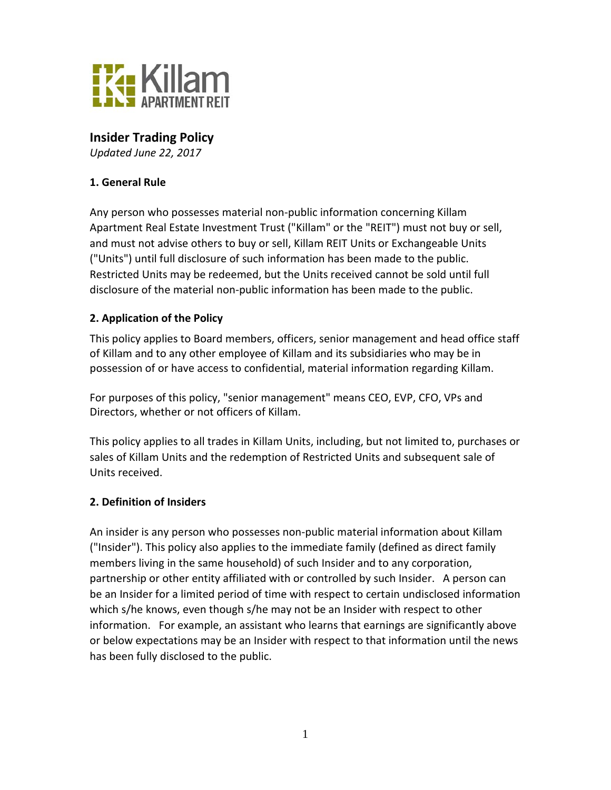

# **Insider Trading Policy**

*Updated June 22, 2017*

#### **1. General Rule**

Any person who possesses material non-public information concerning Killam Apartment Real Estate Investment Trust ("Killam" or the "REIT") must not buy or sell, and must not advise others to buy or sell, Killam REIT Units or Exchangeable Units ("Units") until full disclosure of such information has been made to the public. Restricted Units may be redeemed, but the Units received cannot be sold until full disclosure of the material non-public information has been made to the public.

#### **2. Application of the Policy**

This policy applies to Board members, officers, senior management and head office staff of Killam and to any other employee of Killam and its subsidiaries who may be in possession of or have access to confidential, material information regarding Killam.

For purposes of this policy, "senior management" means CEO, EVP, CFO, VPs and Directors, whether or not officers of Killam.

This policy applies to all trades in Killam Units, including, but not limited to, purchases or sales of Killam Units and the redemption of Restricted Units and subsequent sale of Units received.

#### **2. Definition of Insiders**

An insider is any person who possesses non-public material information about Killam ("Insider"). This policy also applies to the immediate family (defined as direct family members living in the same household) of such Insider and to any corporation, partnership or other entity affiliated with or controlled by such Insider. A person can be an Insider for a limited period of time with respect to certain undisclosed information which s/he knows, even though s/he may not be an Insider with respect to other information. For example, an assistant who learns that earnings are significantly above or below expectations may be an Insider with respect to that information until the news has been fully disclosed to the public.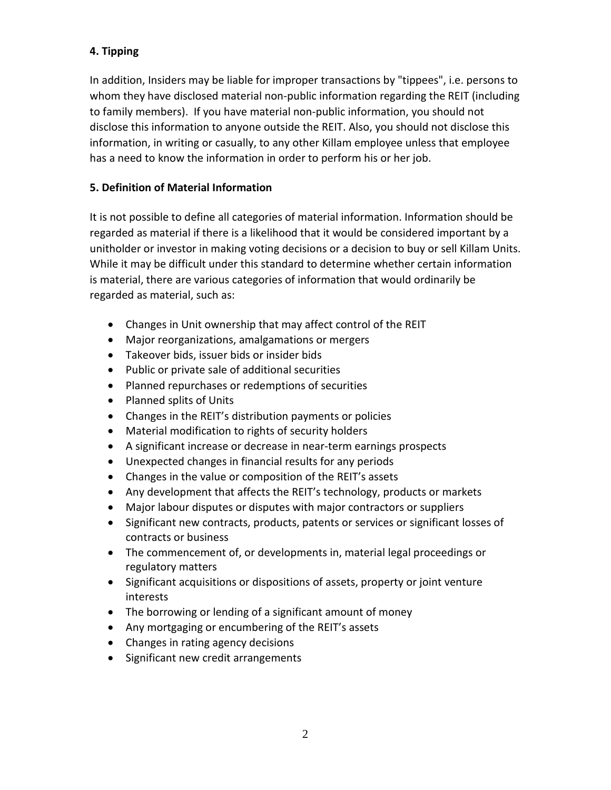## **4. Tipping**

In addition, Insiders may be liable for improper transactions by "tippees", i.e. persons to whom they have disclosed material non-public information regarding the REIT (including to family members). If you have material non-public information, you should not disclose this information to anyone outside the REIT. Also, you should not disclose this information, in writing or casually, to any other Killam employee unless that employee has a need to know the information in order to perform his or her job.

#### **5. Definition of Material Information**

It is not possible to define all categories of material information. Information should be regarded as material if there is a likelihood that it would be considered important by a unitholder or investor in making voting decisions or a decision to buy or sell Killam Units. While it may be difficult under this standard to determine whether certain information is material, there are various categories of information that would ordinarily be regarded as material, such as:

- Changes in Unit ownership that may affect control of the REIT
- Major reorganizations, amalgamations or mergers
- Takeover bids, issuer bids or insider bids
- Public or private sale of additional securities
- Planned repurchases or redemptions of securities
- Planned splits of Units
- Changes in the REIT's distribution payments or policies
- Material modification to rights of security holders
- A significant increase or decrease in near-term earnings prospects
- Unexpected changes in financial results for any periods
- Changes in the value or composition of the REIT's assets
- Any development that affects the REIT's technology, products or markets
- Major labour disputes or disputes with major contractors or suppliers
- Significant new contracts, products, patents or services or significant losses of contracts or business
- The commencement of, or developments in, material legal proceedings or regulatory matters
- Significant acquisitions or dispositions of assets, property or joint venture interests
- The borrowing or lending of a significant amount of money
- Any mortgaging or encumbering of the REIT's assets
- Changes in rating agency decisions
- Significant new credit arrangements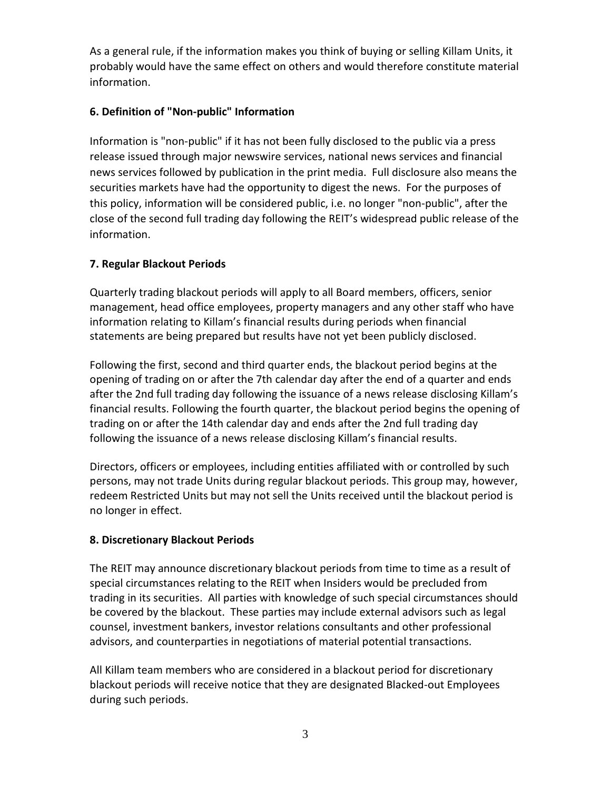As a general rule, if the information makes you think of buying or selling Killam Units, it probably would have the same effect on others and would therefore constitute material information.

## **6. Definition of "Non-public" Information**

Information is "non-public" if it has not been fully disclosed to the public via a press release issued through major newswire services, national news services and financial news services followed by publication in the print media. Full disclosure also means the securities markets have had the opportunity to digest the news. For the purposes of this policy, information will be considered public, i.e. no longer "non-public", after the close of the second full trading day following the REIT's widespread public release of the information.

## **7. Regular Blackout Periods**

Quarterly trading blackout periods will apply to all Board members, officers, senior management, head office employees, property managers and any other staff who have information relating to Killam's financial results during periods when financial statements are being prepared but results have not yet been publicly disclosed.

Following the first, second and third quarter ends, the blackout period begins at the opening of trading on or after the 7th calendar day after the end of a quarter and ends after the 2nd full trading day following the issuance of a news release disclosing Killam's financial results. Following the fourth quarter, the blackout period begins the opening of trading on or after the 14th calendar day and ends after the 2nd full trading day following the issuance of a news release disclosing Killam's financial results.

Directors, officers or employees, including entities affiliated with or controlled by such persons, may not trade Units during regular blackout periods. This group may, however, redeem Restricted Units but may not sell the Units received until the blackout period is no longer in effect.

#### **8. Discretionary Blackout Periods**

The REIT may announce discretionary blackout periods from time to time as a result of special circumstances relating to the REIT when Insiders would be precluded from trading in its securities. All parties with knowledge of such special circumstances should be covered by the blackout. These parties may include external advisors such as legal counsel, investment bankers, investor relations consultants and other professional advisors, and counterparties in negotiations of material potential transactions.

All Killam team members who are considered in a blackout period for discretionary blackout periods will receive notice that they are designated Blacked-out Employees during such periods.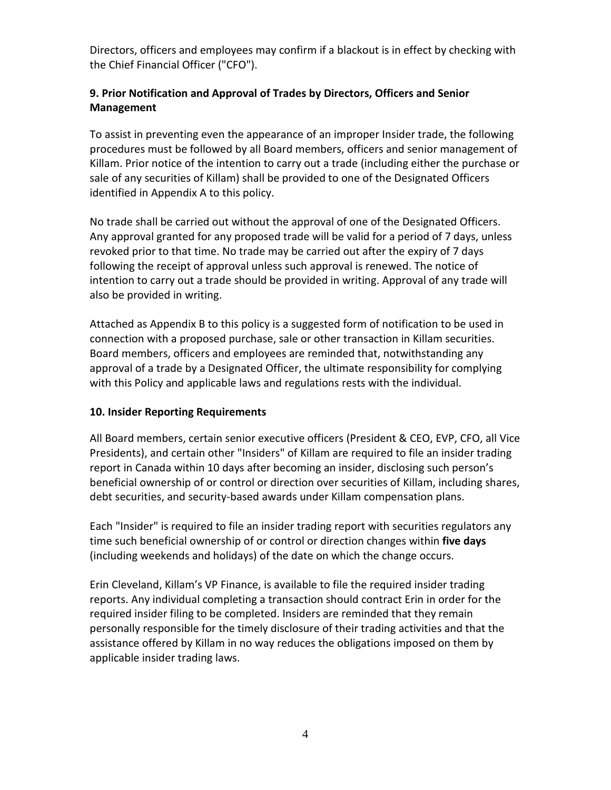Directors, officers and employees may confirm if a blackout is in effect by checking with the Chief Financial Officer ("CFO").

## **9. Prior Notification and Approval of Trades by Directors, Officers and Senior Management**

To assist in preventing even the appearance of an improper Insider trade, the following procedures must be followed by all Board members, officers and senior management of Killam. Prior notice of the intention to carry out a trade (including either the purchase or sale of any securities of Killam) shall be provided to one of the Designated Officers identified in Appendix A to this policy.

No trade shall be carried out without the approval of one of the Designated Officers. Any approval granted for any proposed trade will be valid for a period of 7 days, unless revoked prior to that time. No trade may be carried out after the expiry of 7 days following the receipt of approval unless such approval is renewed. The notice of intention to carry out a trade should be provided in writing. Approval of any trade will also be provided in writing.

Attached as Appendix B to this policy is a suggested form of notification to be used in connection with a proposed purchase, sale or other transaction in Killam securities. Board members, officers and employees are reminded that, notwithstanding any approval of a trade by a Designated Officer, the ultimate responsibility for complying with this Policy and applicable laws and regulations rests with the individual.

#### **10. Insider Reporting Requirements**

All Board members, certain senior executive officers (President & CEO, EVP, CFO, all Vice Presidents), and certain other "Insiders" of Killam are required to file an insider trading report in Canada within 10 days after becoming an insider, disclosing such person's beneficial ownership of or control or direction over securities of Killam, including shares, debt securities, and security-based awards under Killam compensation plans.

Each "Insider" is required to file an insider trading report with securities regulators any time such beneficial ownership of or control or direction changes within **five days** (including weekends and holidays) of the date on which the change occurs.

Erin Cleveland, Killam's VP Finance, is available to file the required insider trading reports. Any individual completing a transaction should contract Erin in order for the required insider filing to be completed. Insiders are reminded that they remain personally responsible for the timely disclosure of their trading activities and that the assistance offered by Killam in no way reduces the obligations imposed on them by applicable insider trading laws.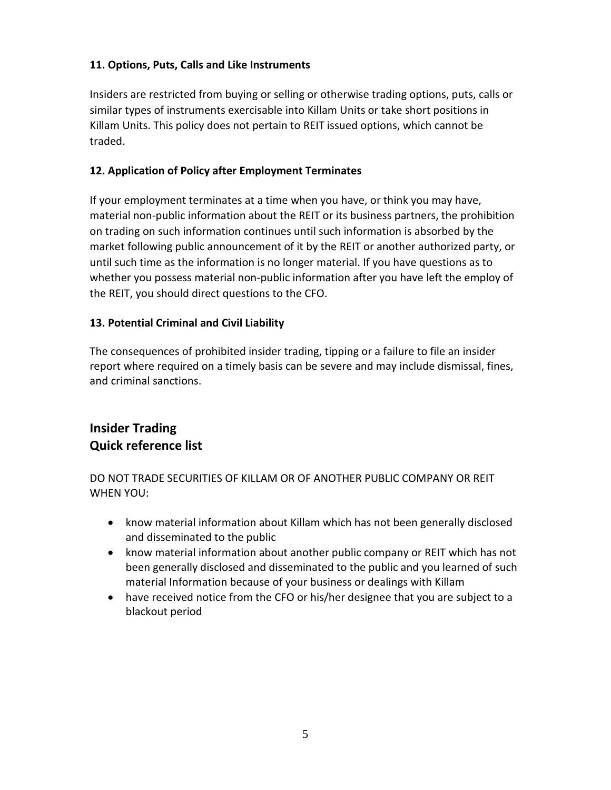## **11. Options, Puts, Calls and Like Instruments**

Insiders are restricted from buying or selling or otherwise trading options, puts, calls or similar types of instruments exercisable into Killam Units or take short positions in Killam Units. This policy does not pertain to REIT issued options, which cannot be traded.

### **12. Application of Policy after Employment Terminates**

If your employment terminates at a time when you have, or think you may have, material non-public information about the REIT or its business partners, the prohibition on trading on such information continues until such information is absorbed by the market following public announcement of it by the REIT or another authorized party, or until such time as the information is no longer material. If you have questions as to whether you possess material non-public information after you have left the employ of the REIT, you should direct questions to the CFO.

## **13. Potential Criminal and Civil Liability**

The consequences of prohibited insider trading, tipping or a failure to file an insider report where required on a timely basis can be severe and may include dismissal, fines, and criminal sanctions.

# **Insider Trading Quick reference list**

DO NOT TRADE SECURITIES OF KILLAM OR OF ANOTHER PUBLIC COMPANY OR REIT WHEN YOU:

- know material information about Killam which has not been generally disclosed and disseminated to the public
- know material information about another public company or REIT which has not been generally disclosed and disseminated to the public and you learned of such material Information because of your business or dealings with Killam
- have received notice from the CFO or his/her designee that you are subject to a blackout period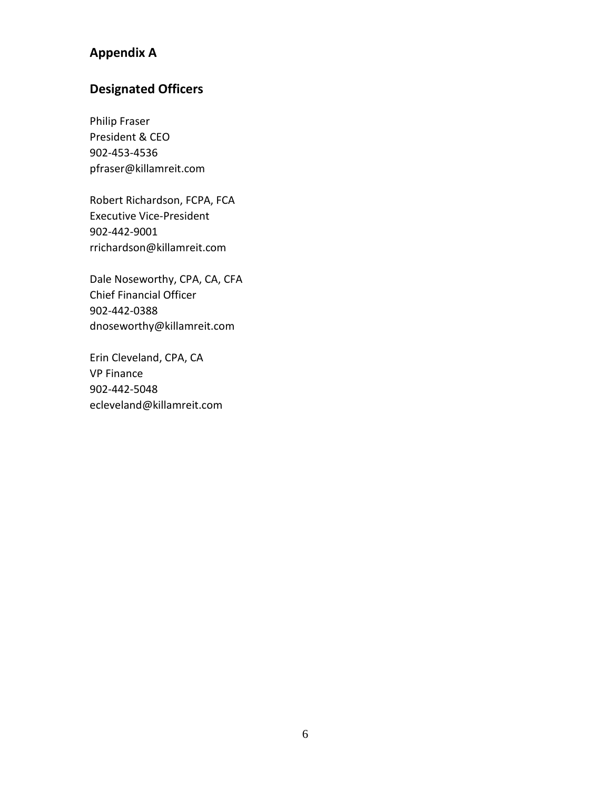# **Appendix A**

# **Designated Officers**

Philip Fraser President & CEO 902-453-4536 pfraser@killamreit.com

Robert Richardson, FCPA, FCA Executive Vice-President 902-442-9001 rrichardson@killamreit.com

Dale Noseworthy, CPA, CA, CFA Chief Financial Officer 902-442-0388 dnoseworthy@killamreit.com

Erin Cleveland, CPA, CA VP Finance 902-442-5048 ecleveland@killamreit.com